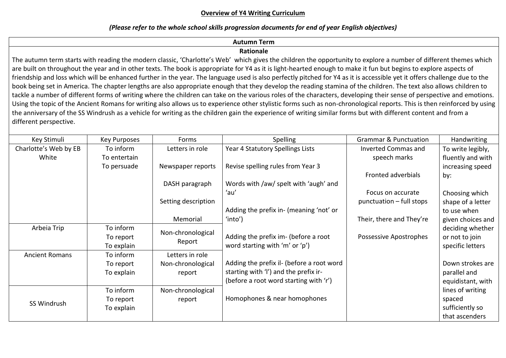## **Overview of Y4 Writing Curriculum**

## *(Please refer to the whole school skills progression documents for end of year English objectives)*

# **Autumn Term**

# **Rationale**

The autumn term starts with reading the modern classic, 'Charlotte's Web' which gives the children the opportunity to explore a number of different themes which are built on throughout the year and in other texts. The book is appropriate for Y4 as it is light-hearted enough to make it fun but begins to explore aspects of friendship and loss which will be enhanced further in the year. The language used is also perfectly pitched for Y4 as it is accessible yet it offers challenge due to the book being set in America. The chapter lengths are also appropriate enough that they develop the reading stamina of the children. The text also allows children to tackle a number of different forms of writing where the children can take on the various roles of the characters, developing their sense of perspective and emotions. Using the topic of the Ancient Romans for writing also allows us to experience other stylistic forms such as non-chronological reports. This is then reinforced by using the anniversary of the SS Windrush as a vehicle for writing as the children gain the experience of writing similar forms but with different content and from a different perspective.

| Key Stimuli           | Key Purposes | Forms                       | <b>Spelling</b>                           | <b>Grammar &amp; Punctuation</b> | Handwriting       |
|-----------------------|--------------|-----------------------------|-------------------------------------------|----------------------------------|-------------------|
| Charlotte's Web by EB | To inform    | Letters in role             | Year 4 Statutory Spellings Lists          | Inverted Commas and              | To write legibly, |
| White                 | To entertain |                             |                                           | speech marks                     | fluently and with |
|                       | To persuade  | Newspaper reports           | Revise spelling rules from Year 3         |                                  | increasing speed  |
|                       |              |                             |                                           | Fronted adverbials               | by:               |
|                       |              | DASH paragraph              | Words with /aw/ spelt with 'augh' and     |                                  |                   |
|                       |              |                             | 'au'                                      | Focus on accurate                | Choosing which    |
|                       |              | Setting description         |                                           | punctuation – full stops         | shape of a letter |
|                       |              |                             | Adding the prefix in- (meaning 'not' or   |                                  | to use when       |
|                       |              | Memorial                    | 'into')                                   | Their, there and They're         | given choices and |
| Arbeia Trip           | To inform    | Non-chronological<br>Report |                                           |                                  | deciding whether  |
|                       | To report    |                             | Adding the prefix im- (before a root      | Possessive Apostrophes           | or not to join    |
|                       | To explain   |                             | word starting with 'm' or 'p')            |                                  | specific letters  |
| <b>Ancient Romans</b> | To inform    | Letters in role             |                                           |                                  |                   |
|                       | To report    | Non-chronological           | Adding the prefix il- (before a root word |                                  | Down strokes are  |
|                       | To explain   | report                      | starting with 'I') and the prefix ir-     |                                  | parallel and      |
|                       |              |                             | (before a root word starting with 'r')    |                                  | equidistant, with |
| SS Windrush           | To inform    | Non-chronological           |                                           |                                  | lines of writing  |
|                       | To report    | report                      | Homophones & near homophones              |                                  | spaced            |
|                       | To explain   |                             |                                           |                                  | sufficiently so   |
|                       |              |                             |                                           |                                  | that ascenders    |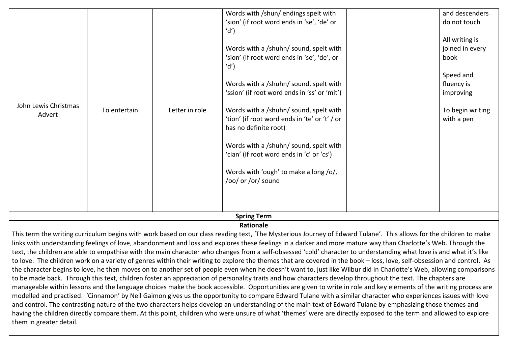| John Lewis Christmas<br>Advert | To entertain | Letter in role | 'sion' (if root word ends in 'se', 'de' or<br>'d')<br>Words with a /shuhn/ sound, spelt with<br>'sion' (if root word ends in 'se', 'de', or<br>'d')<br>Words with a /shuhn/ sound, spelt with<br>'ssion' (if root word ends in 'ss' or 'mit')<br>Words with a /shuhn/ sound, spelt with<br>'tion' (if root word ends in 'te' or 't' / or<br>has no definite root)<br>Words with a /shuhn/ sound, spelt with<br>'cian' (if root word ends in 'c' or 'cs')<br>Words with 'ough' to make a long /o/,<br>/oo/ or /or/ sound<br><b>Spring Term</b> | do not touch<br>All writing is<br>joined in every<br>book<br>Speed and<br>fluency is<br>improving<br>To begin writing<br>with a pen |
|--------------------------------|--------------|----------------|-----------------------------------------------------------------------------------------------------------------------------------------------------------------------------------------------------------------------------------------------------------------------------------------------------------------------------------------------------------------------------------------------------------------------------------------------------------------------------------------------------------------------------------------------|-------------------------------------------------------------------------------------------------------------------------------------|
|                                |              |                | Words with /shun/ endings spelt with                                                                                                                                                                                                                                                                                                                                                                                                                                                                                                          | and descenders                                                                                                                      |
|                                |              |                |                                                                                                                                                                                                                                                                                                                                                                                                                                                                                                                                               |                                                                                                                                     |

### **Rationale**

This term the writing curriculum begins with work based on our class reading text, 'The Mysterious Journey of Edward Tulane'. This allows for the children to make links with understanding feelings of love, abandonment and loss and explores these feelings in a darker and more mature way than Charlotte's Web. Through the text, the children are able to empathise with the main character who changes from a self-obsessed 'cold' character to understanding what love is and what it's like to love. The children work on a variety of genres within their writing to explore the themes that are covered in the book – loss, love, self-obsession and control. As the character begins to love, he then moves on to another set of people even when he doesn't want to, just like Wilbur did in Charlotte's Web, allowing comparisons to be made back. Through this text, children foster an appreciation of personality traits and how characters develop throughout the text. The chapters are manageable within lessons and the language choices make the book accessible. Opportunities are given to write in role and key elements of the writing process are modelled and practised. 'Cinnamon' by Neil Gaimon gives us the opportunity to compare Edward Tulane with a similar character who experiences issues with love and control. The contrasting nature of the two characters helps develop an understanding of the main text of Edward Tulane by emphasizing those themes and having the children directly compare them. At this point, children who were unsure of what 'themes' were are directly exposed to the term and allowed to explore them in greater detail.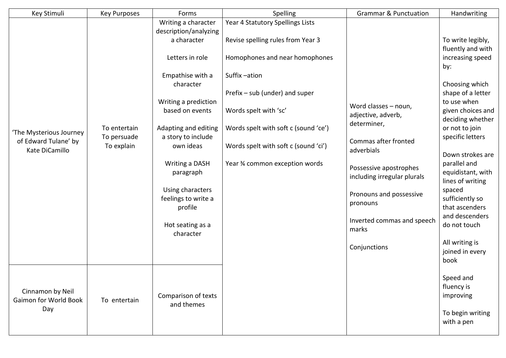| Key Stimuli                                                       | <b>Key Purposes</b>                       | Forms                                                                                                                                                                                                                                                                                                                                       | Spelling                                                                                                                                                                                                                                                                                            | <b>Grammar &amp; Punctuation</b>                                                                                                                                                                                                                       | Handwriting                                                                                                                                                                                                                                                                                                                                                                                                       |
|-------------------------------------------------------------------|-------------------------------------------|---------------------------------------------------------------------------------------------------------------------------------------------------------------------------------------------------------------------------------------------------------------------------------------------------------------------------------------------|-----------------------------------------------------------------------------------------------------------------------------------------------------------------------------------------------------------------------------------------------------------------------------------------------------|--------------------------------------------------------------------------------------------------------------------------------------------------------------------------------------------------------------------------------------------------------|-------------------------------------------------------------------------------------------------------------------------------------------------------------------------------------------------------------------------------------------------------------------------------------------------------------------------------------------------------------------------------------------------------------------|
| 'The Mysterious Journey<br>of Edward Tulane' by<br>Kate DiCamillo | To entertain<br>To persuade<br>To explain | Writing a character<br>description/analyzing<br>a character<br>Letters in role<br>Empathise with a<br>character<br>Writing a prediction<br>based on events<br>Adapting and editing<br>a story to include<br>own ideas<br>Writing a DASH<br>paragraph<br>Using characters<br>feelings to write a<br>profile<br>Hot seating as a<br>character | Year 4 Statutory Spellings Lists<br>Revise spelling rules from Year 3<br>Homophones and near homophones<br>Suffix-ation<br>Prefix – sub (under) and super<br>Words spelt with 'sc'<br>Words spelt with soft c (sound 'ce')<br>Words spelt with soft c (sound 'ci')<br>Year % common exception words | Word classes - noun,<br>adjective, adverb,<br>determiner,<br>Commas after fronted<br>adverbials<br>Possessive apostrophes<br>including irregular plurals<br>Pronouns and possessive<br>pronouns<br>Inverted commas and speech<br>marks<br>Conjunctions | To write legibly,<br>fluently and with<br>increasing speed<br>by:<br>Choosing which<br>shape of a letter<br>to use when<br>given choices and<br>deciding whether<br>or not to join<br>specific letters<br>Down strokes are<br>parallel and<br>equidistant, with<br>lines of writing<br>spaced<br>sufficiently so<br>that ascenders<br>and descenders<br>do not touch<br>All writing is<br>joined in every<br>book |
| Cinnamon by Neil<br>Gaimon for World Book<br>Day                  | To entertain                              | Comparison of texts<br>and themes                                                                                                                                                                                                                                                                                                           |                                                                                                                                                                                                                                                                                                     |                                                                                                                                                                                                                                                        | Speed and<br>fluency is<br>improving<br>To begin writing<br>with a pen                                                                                                                                                                                                                                                                                                                                            |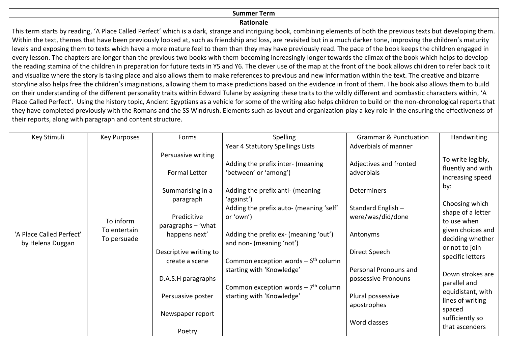### **Summer Term**

#### **Rationale**

This term starts by reading, 'A Place Called Perfect' which is a dark, strange and intriguing book, combining elements of both the previous texts but developing them. Within the text, themes that have been previously looked at, such as friendship and loss, are revisited but in a much darker tone, improving the children's maturity levels and exposing them to texts which have a more mature feel to them than they may have previously read. The pace of the book keeps the children engaged in every lesson. The chapters are longer than the previous two books with them becoming increasingly longer towards the climax of the book which helps to develop the reading stamina of the children in preparation for future texts in Y5 and Y6. The clever use of the map at the front of the book allows children to refer back to it and visualize where the story is taking place and also allows them to make references to previous and new information within the text. The creative and bizarre storyline also helps free the children's imaginations, allowing them to make predictions based on the evidence in front of them. The book also allows them to build on their understanding of the different personality traits within Edward Tulane by assigning these traits to the wildly different and bombastic characters within, 'A Place Called Perfect'. Using the history topic, Ancient Egyptians as a vehicle for some of the writing also helps children to build on the non-chronological reports that they have completed previously with the Romans and the SS Windrush. Elements such as layout and organization play a key role in the ensuring the effectiveness of their reports, along with paragraph and content structure.

| Key Stimuli                                  | Key Purposes                             | Forms                                                                               | Spelling                                                                                                                                                                                                 | <b>Grammar &amp; Punctuation</b>                                                                                       | Handwriting                                                                                                                                                                                                                                                                                                                        |
|----------------------------------------------|------------------------------------------|-------------------------------------------------------------------------------------|----------------------------------------------------------------------------------------------------------------------------------------------------------------------------------------------------------|------------------------------------------------------------------------------------------------------------------------|------------------------------------------------------------------------------------------------------------------------------------------------------------------------------------------------------------------------------------------------------------------------------------------------------------------------------------|
| 'A Place Called Perfect'<br>by Helena Duggan | To inform<br>To entertain<br>To persuade | Persuasive writing<br>Formal Letter<br>Summarising in a<br>paragraph<br>Predicitive | Year 4 Statutory Spellings Lists<br>Adding the prefix inter- (meaning<br>'between' or 'among')<br>Adding the prefix anti- (meaning<br>'against')<br>Adding the prefix auto- (meaning 'self'<br>or 'own') | Adverbials of manner<br>Adjectives and fronted<br>adverbials<br>Determiners<br>Standard English -<br>were/was/did/done | To write legibly,<br>fluently and with<br>increasing speed<br>by:<br>Choosing which<br>shape of a letter<br>to use when<br>given choices and<br>deciding whether<br>or not to join<br>specific letters<br>Down strokes are<br>parallel and<br>equidistant, with<br>lines of writing<br>spaced<br>sufficiently so<br>that ascenders |
|                                              |                                          | paragraphs - 'what<br>happens next'<br>Descriptive writing to<br>create a scene     | Adding the prefix ex- (meaning 'out')<br>and non- (meaning 'not')<br>Common exception words $-6$ <sup>th</sup> column                                                                                    | Antonyms<br>Direct Speech                                                                                              |                                                                                                                                                                                                                                                                                                                                    |
|                                              |                                          | D.A.S.H paragraphs                                                                  | starting with 'Knowledge'<br>Common exception words $-7$ <sup>th</sup> column                                                                                                                            | Personal Pronouns and<br>possessive Pronouns                                                                           |                                                                                                                                                                                                                                                                                                                                    |
|                                              |                                          | Persuasive poster<br>Newspaper report<br>Poetry                                     | starting with 'Knowledge'                                                                                                                                                                                | Plural possessive<br>apostrophes<br>Word classes                                                                       |                                                                                                                                                                                                                                                                                                                                    |